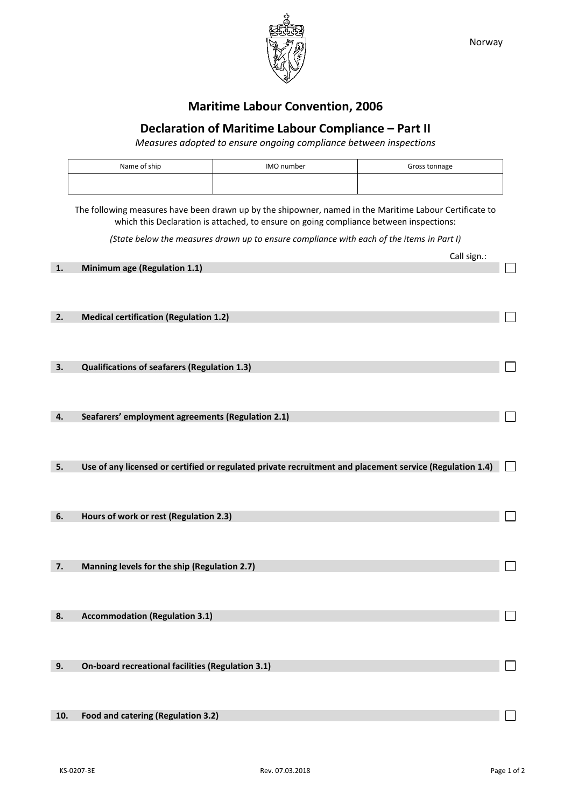

## **Maritime Labour Convention, 2006**

## **Declaration of Maritime Labour Compliance – Part II**

*Measures adopted to ensure ongoing compliance between inspections*

| Name of ship | IMO number | Gross tonnage |
|--------------|------------|---------------|
|              |            |               |

The following measures have been drawn up by the shipowner, named in the Maritime Labour Certificate to which this Declaration is attached, to ensure on going compliance between inspections:

*(State below the measures drawn up to ensure compliance with each of the items in Part I)*

|     |                                                                                                          | Call sign.: |  |
|-----|----------------------------------------------------------------------------------------------------------|-------------|--|
| 1.  | Minimum age (Regulation 1.1)                                                                             |             |  |
|     |                                                                                                          |             |  |
| 2.  | <b>Medical certification (Regulation 1.2)</b>                                                            |             |  |
|     |                                                                                                          |             |  |
| 3.  | Qualifications of seafarers (Regulation 1.3)                                                             |             |  |
|     |                                                                                                          |             |  |
| 4.  | Seafarers' employment agreements (Regulation 2.1)                                                        |             |  |
|     |                                                                                                          |             |  |
| 5.  | Use of any licensed or certified or regulated private recruitment and placement service (Regulation 1.4) |             |  |
|     |                                                                                                          |             |  |
| 6.  | Hours of work or rest (Regulation 2.3)                                                                   |             |  |
|     |                                                                                                          |             |  |
| 7.  | Manning levels for the ship (Regulation 2.7)                                                             |             |  |
|     |                                                                                                          |             |  |
| 8.  | <b>Accommodation (Regulation 3.1)</b>                                                                    |             |  |
|     |                                                                                                          |             |  |
| 9.  | On-board recreational facilities (Regulation 3.1)                                                        |             |  |
|     |                                                                                                          |             |  |
| 10. | Food and catering (Regulation 3.2)                                                                       |             |  |